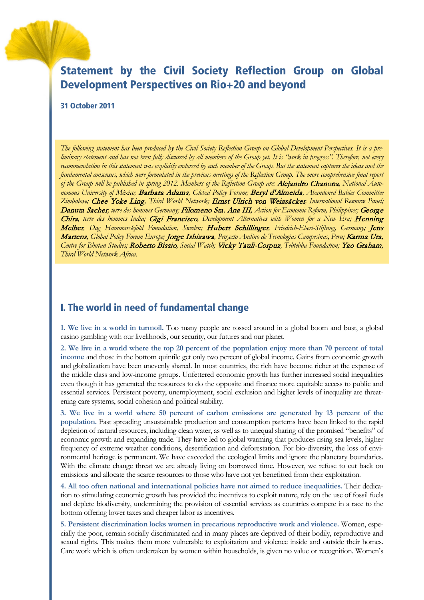# Statement by the Civil Society Reflection Group on Global Development Perspectives on Rio+20 and beyond

#### 31 October 2011

*The following statement has been produced by the Civil Society Reflection Group on Global Development Perspectives. It is a preliminary statement and has not been fully discussed by all members of the Group yet. It is "work in progress". Therefore, not every recommendation in this statement was explicitly endorsed by each member of the Group. But the statement captures the ideas and the fundamental consensus, which were formulated in the previous meetings of the Reflection Group. The more comprehensive final report of the Group will be published in spring 2012. Members of the Reflection Group are:* Alejandro Chanona*, National Autonomous University of México;* Barbara Adams*, Global Policy Forum;* Beryl d'Almeida*, Abandoned Babies Committee Zimbabwe;* Chee Yoke Ling*, Third World Network;* Ernst Ulrich von Weizsäcker*, International Resource Panel;*  Danuta Sacher*, terre des hommes Germany;* Filomeno Sta. Ana III*, Action for Economic Reform, Philippines;* George Chira*, terre des hommes India;* Gigi Francisco*, Development Alternatives with Women for a New Era;* Henning Melber*, Dag Hammarskjöld Foundation, Sweden;* Hubert Schillinger*, Friedrich-Ebert-Stiftung, Germany;* Jens Martens*, Global Policy Forum Europe;* Jorge Ishizawa*, Proyecto Andino de Tecnologias Campesinas, Peru;* Karma Ura*, Centre for Bhutan Studies;* Roberto Bissio*, Social Watch;* Vicky Tauli-Corpuz*, Tebtebba Foundation;* Yao Graham*, Third World Network Africa.*

#### I. The world in need of fundamental change

**1. We live in a world in turmoil.** Too many people are tossed around in a global boom and bust, a global casino gambling with our livelihoods, our security, our futures and our planet.

**2. We live in a world where the top 20 percent of the population enjoy more than 70 percent of total income** and those in the bottom quintile get only two percent of global income. Gains from economic growth and globalization have been unevenly shared. In most countries, the rich have become richer at the expense of the middle class and low-income groups. Unfettered economic growth has further increased social inequalities even though it has generated the resources to do the opposite and finance more equitable access to public and essential services. Persistent poverty, unemployment, social exclusion and higher levels of inequality are threatening care systems, social cohesion and political stability.

**3. We live in a world where 50 percent of carbon emissions are generated by 13 percent of the population.** Fast spreading unsustainable production and consumption patterns have been linked to the rapid depletion of natural resources, including clean water, as well as to unequal sharing of the promised "benefits" of economic growth and expanding trade. They have led to global warming that produces rising sea levels, higher frequency of extreme weather conditions, desertification and deforestation. For bio-diversity, the loss of environmental heritage is permanent. We have exceeded the ecological limits and ignore the planetary boundaries. With the climate change threat we are already living on borrowed time. However, we refuse to cut back on emissions and allocate the scarce resources to those who have not yet benefitted from their exploitation.

**4. All too often national and international policies have not aimed to reduce inequalities.** Their dedication to stimulating economic growth has provided the incentives to exploit nature, rely on the use of fossil fuels and deplete biodiversity, undermining the provision of essential services as countries compete in a race to the bottom offering lower taxes and cheaper labor as incentives.

**5. Persistent discrimination locks women in precarious reproductive work and violence.** Women, especially the poor, remain socially discriminated and in many places are deprived of their bodily, reproductive and sexual rights. This makes them more vulnerable to exploitation and violence inside and outside their homes. Care work which is often undertaken by women within households, is given no value or recognition. Women's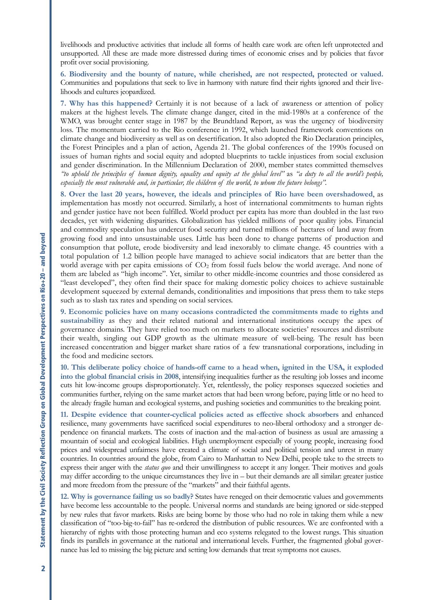livelihoods and productive activities that include all forms of health care work are often left unprotected and unsupported. All these are made more distressed during times of economic crises and by policies that favor profit over social provisioning.

**6. Biodiversity and the bounty of nature, while cherished, are not respected, protected or valued.** Communities and populations that seek to live in harmony with nature find their rights ignored and their livelihoods and cultures jeopardized.

**7. Why has this happened?** Certainly it is not because of a lack of awareness or attention of policy makers at the highest levels. The climate change danger, cited in the mid-1980s at a conference of the WMO, was brought center stage in 1987 by the Brundtland Report, as was the urgency of biodiversity loss. The momentum carried to the Rio conference in 1992, which launched framework conventions on climate change and biodiversity as well as on desertification. It also adopted the Rio Declaration principles, the Forest Principles and a plan of action, Agenda 21. The global conferences of the 1990s focused on issues of human rights and social equity and adopted blueprints to tackle injustices from social exclusion and gender discrimination. In the Millennium Declaration of 2000, member states committed themselves *"to uphold the principles of human dignity, equality and equity at the global level"* as *"a duty to all the world's people, especially the most vulnerable and, in particular, the children of the world, to whom the future belongs".*

**8. Over the last 20 years, however, the ideals and principles of Rio have been overshadowed**, as implementation has mostly not occurred. Similarly, a host of international commitments to human rights and gender justice have not been fulfilled. World product per capita has more than doubled in the last two decades, yet with widening disparities. Globalization has yielded millions of poor quality jobs. Financial and commodity speculation has undercut food security and turned millions of hectares of land away from growing food and into unsustainable uses. Little has been done to change patterns of production and consumption that pollute, erode biodiversity and lead inexorably to climate change. 45 countries with a total population of 1.2 billion people have managed to achieve social indicators that are better than the world average with per capita emissions of CO<sub>2</sub> from fossil fuels below the world average. And none of them are labeled as "high income". Yet, similar to other middle-income countries and those considered as "least developed", they often find their space for making domestic policy choices to achieve sustainable development squeezed by external demands, conditionalities and impositions that press them to take steps such as to slash tax rates and spending on social services.

**9. Economic policies have on many occasions contradicted the commitments made to rights and sustainability** as they and their related national and international institutions occupy the apex of governance domains. They have relied too much on markets to allocate societies' resources and distribute their wealth, singling out GDP growth as the ultimate measure of well-being. The result has been increased concentration and bigger market share ratios of a few transnational corporations, including in the food and medicine sectors.

**10. This deliberate policy choice of hands-off came to a head when, ignited in the USA, it exploded into the global financial crisis in 2008**, intensifying inequalities further as the resulting job losses and income cuts hit low-income groups disproportionately. Yet, relentlessly, the policy responses squeezed societies and communities further, relying on the same market actors that had been wrong before, paying little or no heed to the already fragile human and ecological systems, and pushing societies and communities to the breaking point.

**11. Despite evidence that counter-cyclical policies acted as effective shock absorbers** and enhanced resilience, many governments have sacrificed social expenditures to neo-liberal orthodoxy and a stronger dependence on financial markets. The costs of inaction and the mal-action of business as usual are amassing a mountain of social and ecological liabilities. High unemployment especially of young people, increasing food prices and widespread unfairness have created a climate of social and political tension and unrest in many countries. In countries around the globe, from Cairo to Manhattan to New Delhi, people take to the streets to express their anger with the *status quo* and their unwillingness to accept it any longer. Their motives and goals may differ according to the unique circumstances they live in – but their demands are all similar: greater justice and more freedom from the pressure of the "markets" and their faithful agents.

**12. Why is governance failing us so badly?** States have reneged on their democratic values and governments have become less accountable to the people. Universal norms and standards are being ignored or side-stepped by new rules that favor markets. Risks are being borne by those who had no role in taking them while a new classification of "too-big-to-fail" has re-ordered the distribution of public resources. We are confronted with a hierarchy of rights with those protecting human and eco systems relegated to the lowest rungs. This situation finds its parallels in governance at the national and international levels. Further, the fragmented global governance has led to missing the big picture and setting low demands that treat symptoms not causes.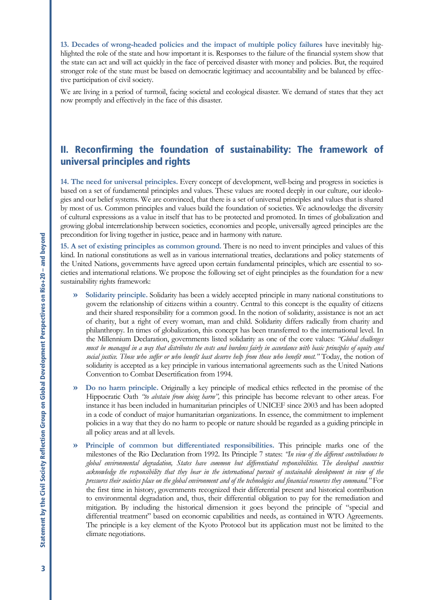**13. Decades of wrong-headed policies and the impact of multiple policy failures** have inevitably highlighted the role of the state and how important it is. Responses to the failure of the financial system show that the state can act and will act quickly in the face of perceived disaster with money and policies. But, the required stronger role of the state must be based on democratic legitimacy and accountability and be balanced by effective participation of civil society.

We are living in a period of turmoil, facing societal and ecological disaster. We demand of states that they act now promptly and effectively in the face of this disaster.

## II. Reconfirming the foundation of sustainability: The framework of universal principles and rights

**14. The need for universal principles.** Every concept of development, well-being and progress in societies is based on a set of fundamental principles and values. These values are rooted deeply in our culture, our ideologies and our belief systems. We are convinced, that there is a set of universal principles and values that is shared by most of us. Common principles and values build the foundation of societies. We acknowledge the diversity of cultural expressions as a value in itself that has to be protected and promoted. In times of globalization and growing global interrelationship between societies, economies and people, universally agreed principles are the precondition for living together in justice, peace and in harmony with nature.

**15. A set of existing principles as common ground.** There is no need to invent principles and values of this kind. In national constitutions as well as in various international treaties, declarations and policy statements of the United Nations, governments have agreed upon certain fundamental principles, which are essential to societies and international relations. We propose the following set of eight principles as the foundation for a new sustainability rights framework:

- **» Solidarity principle.** Solidarity has been a widely accepted principle in many national constitutions to govern the relationship of citizens within a country. Central to this concept is the equality of citizens and their shared responsibility for a common good. In the notion of solidarity, assistance is not an act of charity, but a right of every woman, man and child. Solidarity differs radically from charity and philanthropy. In times of globalization, this concept has been transferred to the international level. In the Millennium Declaration, governments listed solidarity as one of the core values: *"Global challenges must be managed in a way that distributes the costs and burdens fairly in accordance with basic principles of equity and social justice. Those who suffer or who benefit least deserve help from those who benefit most."* Today, the notion of solidarity is accepted as a key principle in various international agreements such as the United Nations Convention to Combat Desertification from 1994.
- **» Do no harm principle.** Originally a key principle of medical ethics reflected in the promise of the Hippocratic Oath *"to abstain from doing harm",* this principle has become relevant to other areas. For instance it has been included in humanitarian principles of UNICEF since 2003 and has been adopted in a code of conduct of major humanitarian organizations. In essence, the commitment to implement policies in a way that they do no harm to people or nature should be regarded as a guiding principle in all policy areas and at all levels.
- **» Principle of common but differentiated responsibilities.** This principle marks one of the milestones of the Rio Declaration from 1992. Its Principle 7 states: *"In view of the different contributions to global environmental degradation, States have common but differentiated responsibilities. The developed countries acknowledge the responsibility that they bear in the international pursuit of sustainable development in view of the pressures their societies place on the global environment and of the technologies and financial resources they command."* For the first time in history, governments recognized their differential present and historical contribution to environmental degradation and, thus, their differential obligation to pay for the remediation and mitigation. By including the historical dimension it goes beyond the principle of "special and differential treatment" based on economic capabilities and needs, as contained in WTO Agreements. The principle is a key element of the Kyoto Protocol but its application must not be limited to the climate negotiations.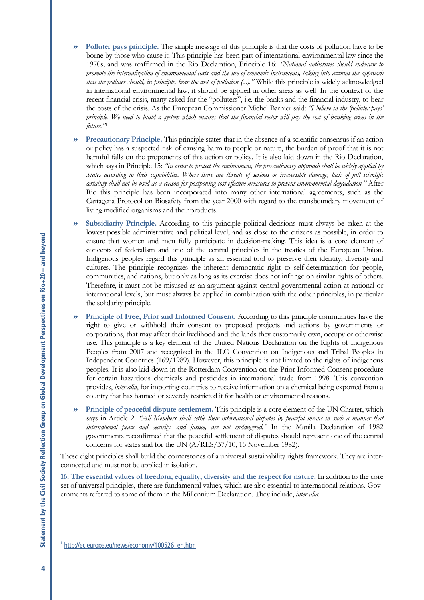- **» Polluter pays principle.** The simple message of this principle is that the costs of pollution have to be borne by those who cause it. This principle has been part of international environmental law since the 1970s, and was reaffirmed in the Rio Declaration, Principle 16: *"National authorities should endeavor to promote the internalization of environmental costs and the use of economic instruments, taking into account the approach that the polluter should, in principle, bear the cost of pollution (...)."* While this principle is widely acknowledged in international environmental law, it should be applied in other areas as well. In the context of the recent financial crisis, many asked for the "polluters", i.e. the banks and the financial industry, to bear the costs of the crisis. As the European Commissioner Michel Barnier said: *"I believe in the 'polluter pays' principle. We need to build a system which ensures that the financial sector will pay the cost of banking crises in the future."*[1](#page-3-0)
- **» Precautionary Principle.** This principle states that in the absence of a scientific consensus if an action or policy has a suspected risk of causing harm to people or nature, the burden of proof that it is not harmful falls on the proponents of this action or policy. It is also laid down in the Rio Declaration, which says in Principle 15: *"In order to protect the environment, the precautionary approach shall be widely applied by States according to their capabilities. Where there are threats of serious or irreversible damage, lack of full scientific certainty shall not be used as a reason for postponing cost-effective measures to prevent environmental degradation."* After Rio this principle has been incorporated into many other international agreements, such as the Cartagena Protocol on Biosafety from the year 2000 with regard to the transboundary movement of living modified organisms and their products.
- **» Subsidiarity Principle.** According to this principle political decisions must always be taken at the lowest possible administrative and political level, and as close to the citizens as possible, in order to ensure that women and men fully participate in decision-making. This idea is a core element of concepts of federalism and one of the central principles in the treaties of the European Union. Indigenous peoples regard this principle as an essential tool to preserve their identity, diversity and cultures. The principle recognizes the inherent democratic right to self-determination for people, communities, and nations, but only as long as its exercise does not infringe on similar rights of others. Therefore, it must not be misused as an argument against central governmental action at national or international levels, but must always be applied in combination with the other principles, in particular the solidarity principle.
- **» Principle of Free, Prior and Informed Consent.** According to this principle communities have the right to give or withhold their consent to proposed projects and actions by governments or corporations, that may affect their livelihood and the lands they customarily own, occupy or otherwise use. This principle is a key element of the United Nations Declaration on the Rights of Indigenous Peoples from 2007 and recognized in the ILO Convention on Indigenous and Tribal Peoples in Independent Countries (169/1989). However, this principle is not limited to the rights of indigenous peoples. It is also laid down in the Rotterdam Convention on the Prior Informed Consent procedure for certain hazardous chemicals and pesticides in international trade from 1998. This convention provides, *inter alia*, for importing countries to receive information on a chemical being exported from a country that has banned or severely restricted it for health or environmental reasons.
- **» Principle of peaceful dispute settlement.** This principle is a core element of the UN Charter, which says in Article 2: *"All Members shall settle their international disputes by peaceful means in such a manner that international peace and security, and justice, are not endangered."* In the Manila Declaration of 1982 governments reconfirmed that the peaceful settlement of disputes should represent one of the central concerns for states and for the UN (A/RES/37/10, 15 November 1982).

These eight principles shall build the cornerstones of a universal sustainability rights framework. They are interconnected and must not be applied in isolation.

**16. The essential values of freedom, equality, diversity and the respect for nature.** In addition to the core set of universal principles, there are fundamental values, which are also essential to international relations. Governments referred to some of them in the Millennium Declaration. They include, *inter alia*:

 $\ddot{\phantom{a}}$ 

<span id="page-3-0"></span><sup>1</sup> [http://ec.europa.eu/news/economy/100526\\_en.htm](http://ec.europa.eu/news/economy/100526_en.htm)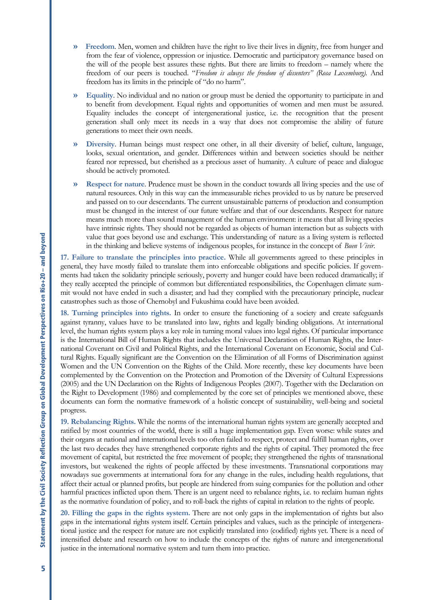- **» Freedom**. Men, women and children have the right to live their lives in dignity, free from hunger and from the fear of violence, oppression or injustice. Democratic and participatory governance based on the will of the people best assures these rights. But there are limits to freedom – namely where the freedom of our peers is touched. "*Freedom is always the freedom of dissenters" (Rosa Luxemburg)*. And freedom has its limits in the principle of "do no harm".
- **» Equality**. No individual and no nation or group must be denied the opportunity to participate in and to benefit from development. Equal rights and opportunities of women and men must be assured. Equality includes the concept of intergenerational justice, i.e. the recognition that the present generation shall only meet its needs in a way that does not compromise the ability of future generations to meet their own needs.
- **» Diversity**. Human beings must respect one other, in all their diversity of belief, culture, language, looks, sexual orientation, and gender. Differences within and between societies should be neither feared nor repressed, but cherished as a precious asset of humanity. A culture of peace and dialogue should be actively promoted.
- **» Respect for nature**. Prudence must be shown in the conduct towards all living species and the use of natural resources. Only in this way can the immeasurable riches provided to us by nature be preserved and passed on to our descendants. The current unsustainable patterns of production and consumption must be changed in the interest of our future welfare and that of our descendants. Respect for nature means much more than sound management of the human environment: it means that all living species have intrinsic rights. They should not be regarded as objects of human interaction but as subjects with value that goes beyond use and exchange. This understanding of nature as a living system is reflected in the thinking and believe systems of indigenous peoples, for instance in the concept of *Buen Vivir*.

**17. Failure to translate the principles into practice.** While all governments agreed to these principles in general, they have mostly failed to translate them into enforceable obligations and specific policies. If governments had taken the solidarity principle seriously, poverty and hunger could have been reduced dramatically; if they really accepted the principle of common but differentiated responsibilities, the Copenhagen climate summit would not have ended in such a disaster; and had they complied with the precautionary principle, nuclear catastrophes such as those of Chernobyl and Fukushima could have been avoided.

**18. Turning principles into rights.** In order to ensure the functioning of a society and create safeguards against tyranny, values have to be translated into law, rights and legally binding obligations. At international level, the human rights system plays a key role in turning moral values into legal rights. Of particular importance is the International Bill of Human Rights that includes the Universal Declaration of Human Rights, the International Covenant on Civil and Political Rights, and the International Covenant on Economic, Social and Cultural Rights. Equally significant are the Convention on the Elimination of all Forms of Discrimination against Women and the UN Convention on the Rights of the Child. More recently, these key documents have been complemented by the Convention on the Protection and Promotion of the Diversity of Cultural Expressions (2005) and the UN Declaration on the Rights of Indigenous Peoples (2007). Together with the Declaration on the Right to Development (1986) and complemented by the core set of principles we mentioned above, these documents can form the normative framework of a holistic concept of sustainability, well-being and societal progress.

**19. Rebalancing Rights.** While the norms of the international human rights system are generally accepted and ratified by most countries of the world, there is still a huge implementation gap. Even worse: while states and their organs at national and international levels too often failed to respect, protect and fulfill human rights, over the last two decades they have strengthened corporate rights and the rights of capital. They promoted the free movement of capital, but restricted the free movement of people; they strengthened the rights of transnational investors, but weakened the rights of people affected by these investments. Transnational corporations may nowadays sue governments at international fora for any change in the rules, including health regulations, that affect their actual or planned profits, but people are hindered from suing companies for the pollution and other harmful practices inflicted upon them. There is an urgent need to rebalance rights, i.e. to reclaim human rights as the normative foundation of policy, and to roll-back the rights of capital in relation to the rights of people.

**20. Filling the gaps in the rights system.** There are not only gaps in the implementation of rights but also gaps in the international rights system itself. Certain principles and values, such as the principle of intergenerational justice and the respect for nature are not explicitly translated into (codified) rights yet. There is a need of intensified debate and research on how to include the concepts of the rights of nature and intergenerational justice in the international normative system and turn them into practice.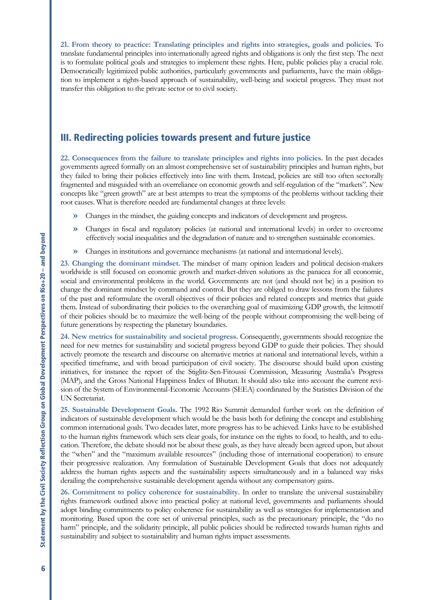**21. From theory to practice: Translating principles and rights into strategies, goals and policies**. To translate fundamental principles into internationally agreed rights and obligations is only the first step. The next is to formulate political goals and strategies to implement these rights. Here, public policies play a crucial role. Democratically legitimized public authorities, particularly governments and parliaments, have the main obligation to implement a rights-based approach of sustainability, well-being and societal progress. They must not transfer this obligation to the private sector or to civil society.

### III. Redirecting policies towards present and future justice

**22. Consequences from the failure to translate principles and rights into policies.** In the past decades governments agreed formally on an almost comprehensive set of sustainability principles and human rights, but they failed to bring their policies effectively into line with them. Instead, policies are still too often sectorally fragmented and misguided with an overreliance on economic growth and self-regulation of the "markets". New concepts like "green growth" are at best attempts to treat the symptoms of the problems without tackling their root causes. What is therefore needed are fundamental changes at three levels:

- **»** Changes in the mindset, the guiding concepts and indicators of development and progress.
- **»** Changes in fiscal and regulatory policies (at national and international levels) in order to overcome effectively social inequalities and the degradation of nature and to strengthen sustainable economies.
- **»** Changes in institutions and governance mechanisms (at national and international levels).

**23. Changing the dominant mindset.** The mindset of many opinion leaders and political decision-makers worldwide is still focused on economic growth and market-driven solutions as the panacea for all economic, social and environmental problems in the world. Governments are not (and should not be) in a position to change the dominant mindset by command and control. But they are obliged to draw lessons from the failures of the past and reformulate the overall objectives of their policies and related concepts and metrics that guide them. Instead of subordinating their policies to the overarching goal of maximizing GDP growth, the leitmotif of their policies should be to maximize the well-being of the people without compromising the well-being of future generations by respecting the planetary boundaries.

**24. New metrics for sustainability and societal progress.** Consequently, governments should recognize the need for new metrics for sustainability and societal progress beyond GDP to guide their policies. They should actively promote the research and discourse on alternative metrics at national and international levels, within a specified timeframe, and with broad participation of civil society. The discourse should build upon existing initiatives, for instance the report of the Stiglitz-Sen-Fitoussi Commission, Measuring Australia's Progress (MAP), and the Gross National Happiness Index of Bhutan. It should also take into account the current revision of the System of Environmental-Economic Accounts (SEEA) coordinated by the Statistics Division of the UN Secretariat.

**25. Sustainable Development Goals.** The 1992 Rio Summit demanded further work on the definition of indicators of sustainable development which would be the basis both for defining the concept and establishing common international goals. Two decades later, more progress has to be achieved. Links have to be established to the human rights framework which sets clear goals, for instance on the rights to food, to health, and to education. Therefore, the debate should not be about these goals, as they have already been agreed upon, but about the "when" and the "maximum available resources" (including those of international cooperation) to ensure their progressive realization. Any formulation of Sustainable Development Goals that does not adequately address the human rights aspects and the sustainability aspects simultaneously and in a balanced way risks derailing the comprehensive sustainable development agenda without any compensatory gains.

**26. Commitment to policy coherence for sustainability.** In order to translate the universal sustainability rights framework outlined above into practical policy at national level, governments and parliaments should adopt binding commitments to policy coherence for sustainability as well as strategies for implementation and monitoring. Based upon the core set of universal principles, such as the precautionary principle, the "do no harm" principle, and the solidarity principle, all public policies should be redirected towards human rights and sustainability and subject to sustainability and human rights impact assessments.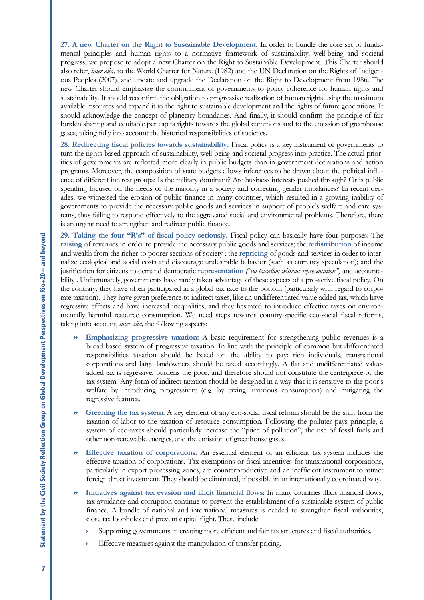**27. A new Charter on the Right to Sustainable Development.** In order to bundle the core set of fundamental principles and human rights to a normative framework of sustainability, well-being and societal progress, we propose to adopt a new Charter on the Right to Sustainable Development. This Charter should also refer, *inter alia,* to the World Charter for Nature (1982) and the UN Declaration on the Rights of Indigenous Peoples (2007), and update and upgrade the Declaration on the Right to Development from 1986. The new Charter should emphasize the commitment of governments to policy coherence for human rights and sustainability. It should reconfirm the obligation to progressive realization of human rights using the maximum available resources and expand it to the right to sustainable development and the rights of future generations. It should acknowledge the concept of planetary boundaries. And finally, it should confirm the principle of fair burden sharing and equitable per capita rights towards the global commons and to the emission of greenhouse gases, taking fully into account the historical responsibilities of societies.

**28. Redirecting fiscal policies towards sustainability.** Fiscal policy is a key instrument of governments to turn the rights-based approach of sustainability, well-being and societal progress into practice. The actual priorities of governments are reflected more clearly in public budgets than in government declarations and action programs. Moreover, the composition of state budgets allows inferences to be drawn about the political influence of different interest groups: Is the military dominant? Are business interests pushed through? Or is public spending focused on the needs of the majority in a society and correcting gender imbalances? In recent decades, we witnessed the erosion of public finance in many countries, which resulted in a growing inability of governments to provide the necessary public goods and services in support of people's welfare and care systems, thus failing to respond effectively to the aggravated social and environmental problems. Therefore, there is an urgent need to strengthen and redirect public finance.

**29. Taking the four "R's" of fiscal policy seriously.** Fiscal policy can basically have four purposes: The **raising** of revenues in order to provide the necessary public goods and services; the **redistribution** of income and wealth from the richer to poorer sections of society ; the **repricing** of goods and services in order to internalize ecological and social costs and discourage undesirable behavior (such as currency speculation); and the justification for citizens to demand democratic **representation** *("no taxation without representation")* and accountability . Unfortunately, governments have rarely taken advantage of these aspects of a pro-active fiscal policy. On the contrary, they have often participated in a global tax race to the bottom (particularly with regard to corporate taxation). They have given preference to indirect taxes, like an undifferentiated value-added tax, which have regressive effects and have increased inequalities, and they hesitated to introduce effective taxes on environmentally harmful resource consumption. We need steps towards country-specific eco-social fiscal reforms, taking into account, *inter alia,* the following aspects:

- **» Emphasizing progressive taxation:** A basic requirement for strengthening public revenues is a broad based system of progressive taxation. In line with the principle of common but differentiated responsibilities taxation should be based on the ability to pay; rich individuals, transnational corporations and large landowners should be taxed accordingly. A flat and undifferentiated valueadded tax is regressive, burdens the poor, and therefore should not constitute the centerpiece of the tax system. Any form of indirect taxation should be designed in a way that it is sensitive to the poor's welfare by introducing progressivity (e.g. by taxing luxurious consumption) and mitigating the regressive features.
- **» Greening the tax system**: A key element of any eco-social fiscal reform should be the shift from the taxation of labor to the taxation of resource consumption. Following the polluter pays principle, a system of eco-taxes should particularly increase the "price of pollution", the use of fossil fuels and other non-renewable energies, and the emission of greenhouse gases.
- **» Effective taxation of corporations**: An essential element of an efficient tax system includes the effective taxation of corporations. Tax exemptions or fiscal incentives for transnational corporations, particularly in export processing zones, are counterproductive and an inefficient instrument to attract foreign direct investment. They should be eliminated, if possible in an internationally coordinated way.
- **» Initiatives against tax evasion and illicit financial flows**: In many countries illicit financial flows, tax avoidance and corruption continue to prevent the establishment of a sustainable system of public finance. A bundle of national and international measures is needed to strengthen fiscal authorities, close tax loopholes and prevent capital flight. These include:
	- **›** Supporting governments in creating more efficient and fair tax structures and fiscal authorities.
	- Effective measures against the manipulation of transfer pricing.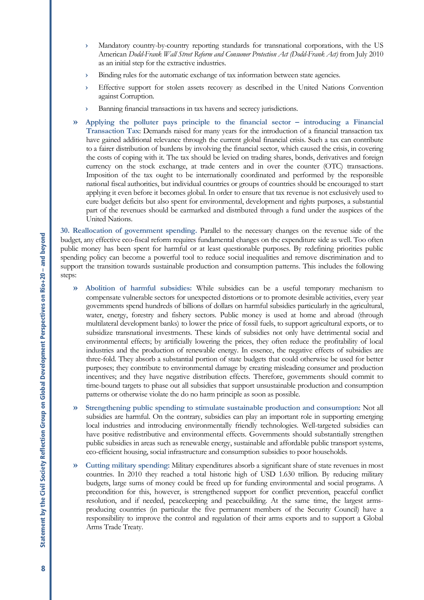- **›** Mandatory country-by-country reporting standards for transnational corporations, with the US American *Dodd-Frank Wall Street Reform and Consumer Protection Act (Dodd-Frank Act)* from July 2010 as an initial step for the extractive industries.
- **›** Binding rules for the automatic exchange of tax information between state agencies.
- **›** Effective support for stolen assets recovery as described in the United Nations Convention against Corruption.
- **›** Banning financial transactions in tax havens and secrecy jurisdictions.
- **» Applying the polluter pays principle to the financial sector – introducing a Financial Transaction Tax**: Demands raised for many years for the introduction of a financial transaction tax have gained additional relevance through the current global financial crisis. Such a tax can contribute to a fairer distribution of burdens by involving the financial sector, which caused the crisis, in covering the costs of coping with it. The tax should be levied on trading shares, bonds, derivatives and foreign currency on the stock exchange, at trade centers and in over the counter (OTC) transactions. Imposition of the tax ought to be internationally coordinated and performed by the responsible national fiscal authorities, but individual countries or groups of countries should be encouraged to start applying it even before it becomes global. In order to ensure that tax revenue is not exclusively used to cure budget deficits but also spent for environmental, development and rights purposes, a substantial part of the revenues should be earmarked and distributed through a fund under the auspices of the United Nations.

**30. Reallocation of government spending.** Parallel to the necessary changes on the revenue side of the budget, any effective eco-fiscal reform requires fundamental changes on the expenditure side as well. Too often public money has been spent for harmful or at least questionable purposes. By redefining priorities public spending policy can become a powerful tool to reduce social inequalities and remove discrimination and to support the transition towards sustainable production and consumption patterns. This includes the following steps:

- **» Abolition of harmful subsidies:** While subsidies can be a useful temporary mechanism to compensate vulnerable sectors for unexpected distortions or to promote desirable activities, every year governments spend hundreds of billions of dollars on harmful subsidies particularly in the agricultural, water, energy, forestry and fishery sectors. Public money is used at home and abroad (through multilateral development banks) to lower the price of fossil fuels, to support agricultural exports, or to subsidize transnational investments. These kinds of subsidies not only have detrimental social and environmental effects; by artificially lowering the prices, they often reduce the profitability of local industries and the production of renewable energy. In essence, the negative effects of subsidies are three-fold. They absorb a substantial portion of state budgets that could otherwise be used for better purposes; they contribute to environmental damage by creating misleading consumer and production incentives; and they have negative distribution effects. Therefore, governments should commit to time-bound targets to phase out all subsidies that support unsustainable production and consumption patterns or otherwise violate the do no harm principle as soon as possible.
- **» Strengthening public spending to stimulate sustainable production and consumption:** Not all subsidies are harmful. On the contrary, subsidies can play an important role in supporting emerging local industries and introducing environmentally friendly technologies. Well-targeted subsidies can have positive redistributive and environmental effects. Governments should substantially strengthen public subsidies in areas such as renewable energy, sustainable and affordable public transport systems, eco-efficient housing, social infrastructure and consumption subsidies to poor households.
- **» Cutting military spending:** Military expenditures absorb a significant share of state revenues in most countries. In 2010 they reached a total historic high of USD 1.630 trillion. By reducing military budgets, large sums of money could be freed up for funding environmental and social programs. A precondition for this, however, is strengthened support for conflict prevention, peaceful conflict resolution, and if needed, peacekeeping and peacebuilding. At the same time, the largest armsproducing countries (in particular the five permanent members of the Security Council) have a responsibility to improve the control and regulation of their arms exports and to support a Global Arms Trade Treaty.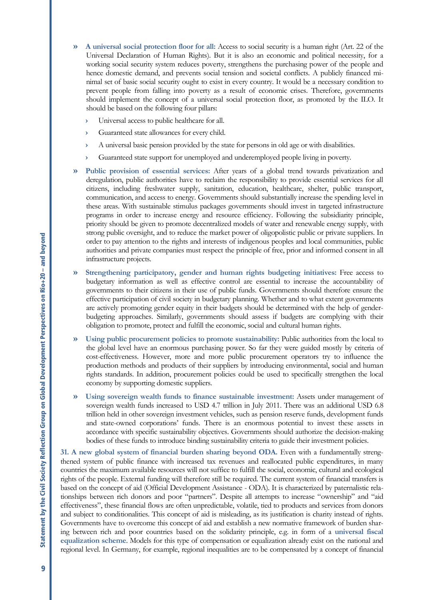- **» A universal social protection floor for all:** Access to social security is a human right (Art. 22 of the Universal Declaration of Human Rights). But it is also an economic and political necessity, for a working social security system reduces poverty, strengthens the purchasing power of the people and hence domestic demand, and prevents social tension and societal conflicts. A publicly financed minimal set of basic social security ought to exist in every country. It would be a necessary condition to prevent people from falling into poverty as a result of economic crises. Therefore, governments should implement the concept of a universal social protection floor, as promoted by the ILO. It should be based on the following four pillars:
	- **›** Universal access to public healthcare for all.
	- **›** Guaranteed state allowances for every child.
	- **›** A universal basic pension provided by the state for persons in old age or with disabilities.
	- **›** Guaranteed state support for unemployed and underemployed people living in poverty.
- **» Public provision of essential services:** After years of a global trend towards privatization and deregulation, public authorities have to reclaim the responsibility to provide essential services for all citizens, including freshwater supply, sanitation, education, healthcare, shelter, public transport, communication, and access to energy. Governments should substantially increase the spending level in these areas. With sustainable stimulus packages governments should invest in targeted infrastructure programs in order to increase energy and resource efficiency. Following the subsidiarity principle, priority should be given to promote decentralized models of water and renewable energy supply, with strong public oversight, and to reduce the market power of oligopolistic public or private suppliers. In order to pay attention to the rights and interests of indigenous peoples and local communities, public authorities and private companies must respect the principle of free, prior and informed consent in all infrastructure projects.
- **» Strengthening participatory, gender and human rights budgeting initiatives:** Free access to budgetary information as well as effective control are essential to increase the accountability of governments to their citizens in their use of public funds. Governments should therefore ensure the effective participation of civil society in budgetary planning. Whether and to what extent governments are actively promoting gender equity in their budgets should be determined with the help of genderbudgeting approaches. Similarly, governments should assess if budgets are complying with their obligation to promote, protect and fulfill the economic, social and cultural human rights.
- **» Using public procurement policies to promote sustainability:** Public authorities from the local to the global level have an enormous purchasing power. So far they were guided mostly by criteria of cost-effectiveness. However, more and more public procurement operators try to influence the production methods and products of their suppliers by introducing environmental, social and human rights standards. In addition, procurement policies could be used to specifically strengthen the local economy by supporting domestic suppliers.
- **» Using sovereign wealth funds to finance sustainable investment:** Assets under management of sovereign wealth funds increased to USD 4.7 trillion in July 2011. There was an additional USD 6.8 trillion held in other sovereign investment vehicles, such as pension reserve funds, development funds and state-owned corporations' funds. There is an enormous potential to invest these assets in accordance with specific sustainability objectives. Governments should authorize the decision-making bodies of these funds to introduce binding sustainability criteria to guide their investment policies.

**31. A new global system of financial burden sharing beyond ODA.** Even with a fundamentally strengthened system of public finance with increased tax revenues and reallocated public expenditures, in many countries the maximum available resources will not suffice to fulfill the social, economic, cultural and ecological rights of the people. External funding will therefore still be required. The current system of financial transfers is based on the concept of aid (Official Development Assistance - ODA). It is characterized by paternalistic relationships between rich donors and poor "partners". Despite all attempts to increase "ownership" and "aid effectiveness", these financial flows are often unpredictable, volatile, tied to products and services from donors and subject to conditionalities. This concept of aid is misleading, as its justification is charity instead of rights. Governments have to overcome this concept of aid and establish a new normative framework of burden sharing between rich and poor countries based on the solidarity principle, e.g. in form of a **universal fiscal equalization scheme**. Models for this type of compensation or equalization already exist on the national and regional level. In Germany, for example, regional inequalities are to be compensated by a concept of financial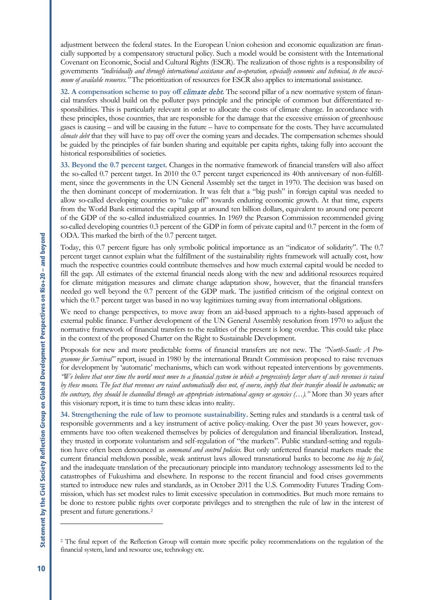adjustment between the federal states. In the European Union cohesion and economic equalization are financially supported by a compensatory structural policy. Such a model would be consistent with the International Covenant on Economic, Social and Cultural Rights (ESCR). The realization of those rights is a responsibility of governments *"individually and through international assistance and co-operation, especially economic and technical, to the maximum of available resources."* The prioritization of resources for ESCR also applies to international assistance.

**32. A compensation scheme to pay off** climate debt**.** The second pillar of a new normative system of financial transfers should build on the polluter pays principle and the principle of common but differentiated responsibilities. This is particularly relevant in order to allocate the costs of climate change. In accordance with these principles, those countries, that are responsible for the damage that the excessive emission of greenhouse gases is causing – and will be causing in the future – have to compensate for the costs. They have accumulated *climate debt* that they will have to pay off over the coming years and decades. The compensation schemes should be guided by the principles of fair burden sharing and equitable per capita rights, taking fully into account the historical responsibilities of societies.

**33. Beyond the 0.7 percent target.** Changes in the normative framework of financial transfers will also affect the so-called 0.7 percent target. In 2010 the 0.7 percent target experienced its 40th anniversary of non-fulfillment, since the governments in the UN General Assembly set the target in 1970. The decision was based on the then dominant concept of modernization. It was felt that a "big push" in foreign capital was needed to allow so-called developing countries to "take off" towards enduring economic growth. At that time, experts from the World Bank estimated the capital gap at around ten billion dollars, equivalent to around one percent of the GDP of the so-called industrialized countries. In 1969 the Pearson Commission recommended giving so-called developing countries 0.3 percent of the GDP in form of private capital and 0.7 percent in the form of ODA. This marked the birth of the 0.7 percent target.

Today, this 0.7 percent figure has only symbolic political importance as an "indicator of solidarity". The 0.7 percent target cannot explain what the fulfillment of the sustainability rights framework will actually cost, how much the respective countries could contribute themselves and how much external capital would be needed to fill the gap. All estimates of the external financial needs along with the new and additional resources required for climate mitigation measures and climate change adaptation show, however, that the financial transfers needed go well beyond the 0.7 percent of the GDP mark. The justified criticism of the original context on which the 0.7 percent target was based in no way legitimizes turning away from international obligations.

We need to change perspectives, to move away from an aid-based approach to a rights-based approach of external public finance. Further development of the UN General Assembly resolution from 1970 to adjust the normative framework of financial transfers to the realities of the present is long overdue. This could take place in the context of the proposed Charter on the Right to Sustainable Development.

Proposals for new and more predictable forms of financial transfers are not new. The *"North-South: A Programme for Survival"* report, issued in 1980 by the international Brandt Commission proposed to raise revenues for development by 'automatic' mechanisms, which can work without repeated interventions by governments. *"We believe that over time the world must move to a financial system in which a progressively larger share of such revenues is raised by these means. The fact that revenues are raised automatically does not, of course, imply that their transfer should be automatic; on the contrary, they should be channelled through an appropriate international agency or agencies (…)."* More than 30 years after this visionary report, it is time to turn these ideas into reality.

**34. Strengthening the rule of law to promote sustainability.** Setting rules and standards is a central task of responsible governments and a key instrument of active policy-making. Over the past 30 years however, governments have too often weakened themselves by policies of deregulation and financial liberalization. Instead, they trusted in corporate voluntarism and self-regulation of "the markets". Public standard-setting and regulation have often been denounced as *command and control policies*. But only unfettered financial markets made the current financial meltdown possible, weak antitrust laws allowed transnational banks to become *too big to fail*, and the inadequate translation of the precautionary principle into mandatory technology assessments led to the catastrophes of Fukushima and elsewhere. In response to the recent financial and food crises governments started to introduce new rules and standards, as in October 2011 the U.S. Commodity Futures Trading Commission, which has set modest rules to limit excessive speculation in commodities. But much more remains to be done to restore public rights over corporate privileges and to strengthen the rule of law in the interest of present and future generations.[2](#page-9-0)

1

<span id="page-9-0"></span><sup>&</sup>lt;sup>2</sup> The final report of the Reflection Group will contain more specific policy recommendations on the regulation of the financial system, land and resource use, technology etc.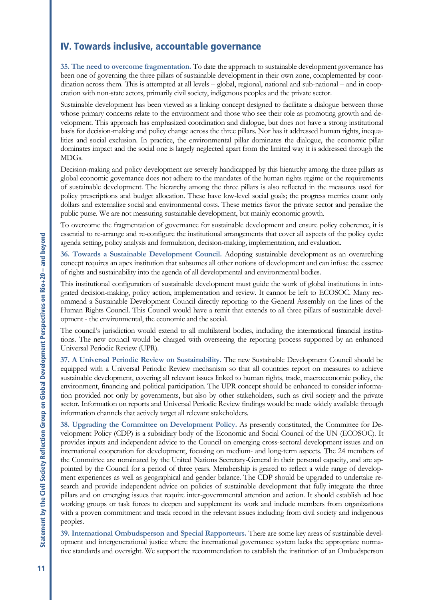### IV. Towards inclusive, accountable governance

**35. The need to overcome fragmentation.** To date the approach to sustainable development governance has been one of governing the three pillars of sustainable development in their own zone, complemented by coordination across them. This is attempted at all levels – global, regional, national and sub-national – and in cooperation with non-state actors, primarily civil society, indigenous peoples and the private sector.

Sustainable development has been viewed as a linking concept designed to facilitate a dialogue between those whose primary concerns relate to the environment and those who see their role as promoting growth and development. This approach has emphasized coordination and dialogue, but does not have a strong institutional basis for decision-making and policy change across the three pillars. Nor has it addressed human rights, inequalities and social exclusion. In practice, the environmental pillar dominates the dialogue, the economic pillar dominates impact and the social one is largely neglected apart from the limited way it is addressed through the MDGs.

Decision-making and policy development are severely handicapped by this hierarchy among the three pillars as global economic governance does not adhere to the mandates of the human rights regime or the requirements of sustainable development. The hierarchy among the three pillars is also reflected in the measures used for policy prescriptions and budget allocation. These have low-level social goals; the progress metrics count only dollars and externalize social and environmental costs. These metrics favor the private sector and penalize the public purse. We are not measuring sustainable development, but mainly economic growth.

To overcome the fragmentation of governance for sustainable development and ensure policy coherence, it is essential to re-arrange and re-configure the institutional arrangements that cover all aspects of the policy cycle: [agenda](http://en.wikipedia.org/wiki/Political_agenda) setting, policy analysis and formulation, decision-making[, implementation,](http://en.wikipedia.org/wiki/Implementation) and evaluation.

**36. Towards a Sustainable Development Council.** Adopting sustainable development as an overarching concept requires an apex institution that subsumes all other notions of development and can infuse the essence of rights and sustainability into the agenda of all developmental and environmental bodies.

This institutional configuration of sustainable development must guide the work of global institutions in integrated decision-making, policy action, implementation and review. It cannot be left to ECOSOC. Many recommend a Sustainable Development Council directly reporting to the General Assembly on the lines of the Human Rights Council. This Council would have a remit that extends to all three pillars of sustainable development - the environmental, the economic and the social.

The council's jurisdiction would extend to all multilateral bodies, including the international financial institutions. The new council would be charged with overseeing the reporting process supported by an enhanced Universal Periodic Review (UPR).

**37. A Universal Periodic Review on Sustainability.** The new Sustainable Development Council should be equipped with a Universal Periodic Review mechanism so that all countries report on measures to achieve sustainable development, covering all relevant issues linked to human rights, trade, macroeconomic policy, the environment, financing and political participation. The UPR concept should be enhanced to consider information provided not only by governments, but also by other stakeholders, such as civil society and the private sector. Information on reports and Universal Periodic Review findings would be made widely available through information channels that actively target all relevant stakeholders.

**38. Upgrading the Committee on Development Policy.** As presently constituted, the Committee for Development Policy (CDP) is a subsidiary body of the Economic and Social Council of the UN (ECOSOC). It provides inputs and independent advice to the Council on emerging cross-sectoral development issues and on international cooperation for development, focusing on medium- and long-term aspects. The 24 members of the Committee are nominated by the United Nations Secretary-General in their personal capacity, and are appointed by the Council for a period of three years. Membership is geared to reflect a wide range of development experiences as well as geographical and gender balance. The CDP should be upgraded to undertake research and provide independent advice on policies of sustainable development that fully integrate the three pillars and on emerging issues that require inter-governmental attention and action. It should establish ad hoc working groups or task forces to deepen and supplement its work and include members from organizations with a proven commitment and track record in the relevant issues including from civil society and indigenous peoples.

**39. International Ombudsperson and Special Rapporteurs.** There are some key areas of sustainable development and intergenerational justice where the international governance system lacks the appropriate normative standards and oversight. We support the recommendation to establish the institution of an Ombudsperson